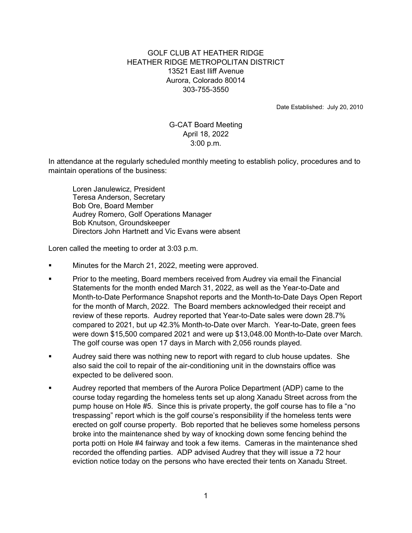## GOLF CLUB AT HEATHER RIDGE HEATHER RIDGE METROPOLITAN DISTRICT 13521 East Iliff Avenue Aurora, Colorado 80014 303-755-3550

Date Established: July 20, 2010

## G-CAT Board Meeting April 18, 2022 3:00 p.m.

In attendance at the regularly scheduled monthly meeting to establish policy, procedures and to maintain operations of the business:

 Loren Janulewicz, President Teresa Anderson, Secretary Bob Ore, Board Member Audrey Romero, Golf Operations Manager Bob Knutson, Groundskeeper Directors John Hartnett and Vic Evans were absent

Loren called the meeting to order at 3:03 p.m.

- Minutes for the March 21, 2022, meeting were approved.
- Prior to the meeting, Board members received from Audrey via email the Financial Statements for the month ended March 31, 2022, as well as the Year-to-Date and Month-to-Date Performance Snapshot reports and the Month-to-Date Days Open Report for the month of March, 2022. The Board members acknowledged their receipt and review of these reports. Audrey reported that Year-to-Date sales were down 28.7% compared to 2021, but up 42.3% Month-to-Date over March. Year-to-Date, green fees were down \$15,500 compared 2021 and were up \$13,048.00 Month-to-Date over March. The golf course was open 17 days in March with 2,056 rounds played.
- Audrey said there was nothing new to report with regard to club house updates. She also said the coil to repair of the air-conditioning unit in the downstairs office was expected to be delivered soon.
- Audrey reported that members of the Aurora Police Department (ADP) came to the course today regarding the homeless tents set up along Xanadu Street across from the pump house on Hole #5. Since this is private property, the golf course has to file a "no trespassing" report which is the golf course's responsibility if the homeless tents were erected on golf course property. Bob reported that he believes some homeless persons broke into the maintenance shed by way of knocking down some fencing behind the porta potti on Hole #4 fairway and took a few items. Cameras in the maintenance shed recorded the offending parties. ADP advised Audrey that they will issue a 72 hour eviction notice today on the persons who have erected their tents on Xanadu Street.